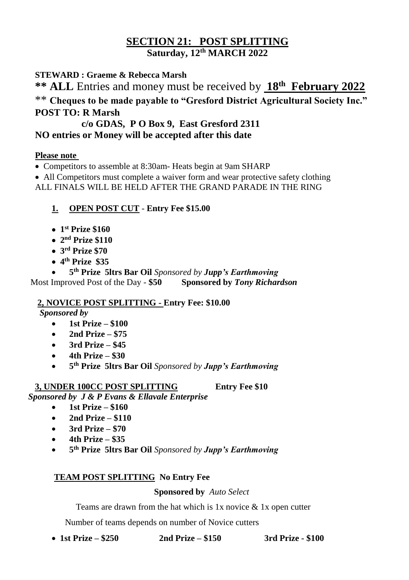## **SECTION 21: POST SPLITTING Saturday, 12 th MARCH 2022**

### **STEWARD : Graeme & Rebecca Marsh**

**\*\* ALL** Entries and money must be received by **18th February 2022** \*\* **Cheques to be made payable to "Gresford District Agricultural Society Inc." POST TO: R Marsh** 

### **c/o GDAS, P O Box 9, East Gresford 2311 NO entries or Money will be accepted after this date**

#### **Please note**

• Competitors to assemble at 8:30am- Heats begin at 9am SHARP

 All Competitors must complete a waiver form and wear protective safety clothing ALL FINALS WILL BE HELD AFTER THE GRAND PARADE IN THE RING

### **1. OPEN POST CUT** - **Entry Fee \$15.00**

- **1 st Prize \$160**
- **2 nd Prize \$110**
- **3 rd Prize \$70**
- **4 th Prize \$35**

 **5 th Prize 5ltrs Bar Oil** *Sponsored by Jupp's Earthmoving*  Most Improved Post of the Day - **\$50 Sponsored by** *Tony Richardson*

### **2, NOVICE POST SPLITTING - Entry Fee: \$10.00**

*Sponsored by* 

- **1st Prize – \$100**
- **2nd Prize – \$75**
- **3rd Prize – \$45**
- **4th Prize – \$30**
- **5 th Prize 5ltrs Bar Oil** *Sponsored by Jupp's Earthmoving*

### **3, UNDER 100CC POST SPLITTING Entry Fee \$10**

*Sponsored by J & P Evans & Ellavale Enterprise*

- **1st Prize – \$160**
- **2nd Prize – \$110**
- **3rd Prize – \$70**
- **4th Prize – \$35**
- **5 th Prize 5ltrs Bar Oil** *Sponsored by Jupp's Earthmoving*

### **TEAM POST SPLITTING No Entry Fee**

### **Sponsored by** *Auto Select*

Teams are drawn from the hat which is 1x novice & 1x open cutter

Number of teams depends on number of Novice cutters

**1st Prize – \$250 2nd Prize – \$150 3rd Prize - \$100**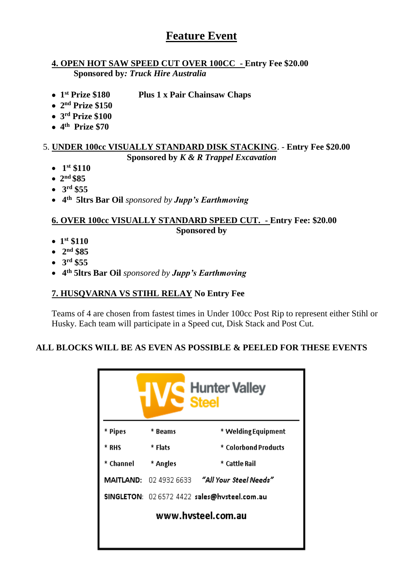# **Feature Event**

#### **4. OPEN HOT SAW SPEED CUT OVER 100CC - Entry Fee \$20.00 Sponsored by***: Truck Hire Australia*

- $\bullet$  1<sup>st</sup> Prize \$180 **Plus 1 x Pair Chainsaw Chaps**
- **2 nd Prize \$150**
- **3 rd Prize \$100**
- **4 th Prize \$70**

#### 5. **UNDER 100cc VISUALLY STANDARD DISK STACKING**. - **Entry Fee \$20.00 Sponsored by** *K & R Trappel Excavation*

- $\bullet$  1<sup>st</sup> \$110
- **2 nd \$85**
- **3 rd \$55**
- **4 th 5ltrs Bar Oil** *sponsored by Jupp's Earthmoving*

#### **6. OVER 100cc VISUALLY STANDARD SPEED CUT. - Entry Fee: \$20.00 Sponsored by**

- **1 st \$110**
- **2 nd \$85**
- **3 rd \$55**
- **4 th 5ltrs Bar Oil** *sponsored by Jupp's Earthmoving*

#### **7. HUSQVARNA VS STIHL RELAY No Entry Fee**

Teams of 4 are chosen from fastest times in Under 100cc Post Rip to represent either Stihl or Husky. Each team will participate in a Speed cut, Disk Stack and Post Cut.

#### **ALL BLOCKS WILL BE AS EVEN AS POSSIBLE & PEELED FOR THESE EVENTS**